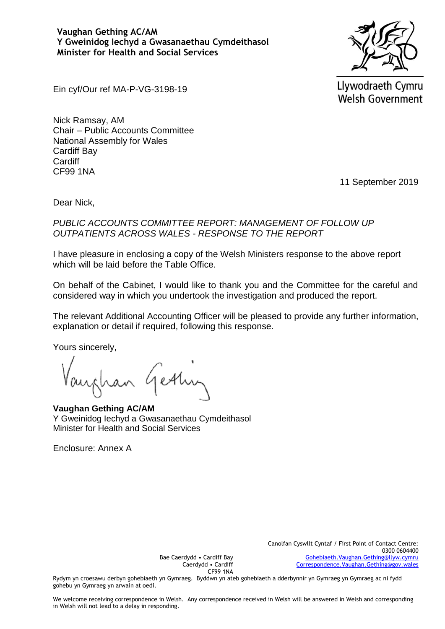**Vaughan Gething AC/AM Y Gweinidog Iechyd a Gwasanaethau Cymdeithasol Minister for Health and Social Services**



Llywodraeth Cymru **Welsh Government** 

Ein cyf/Our ref MA-P-VG-3198-19

Nick Ramsay, AM Chair – Public Accounts Committee National Assembly for Wales Cardiff Bay **Cardiff** CF99 1NA

11 September 2019

Dear Nick,

*PUBLIC ACCOUNTS COMMITTEE REPORT: MANAGEMENT OF FOLLOW UP OUTPATIENTS ACROSS WALES - RESPONSE TO THE REPORT* 

I have pleasure in enclosing a copy of the Welsh Ministers response to the above report which will be laid before the Table Office.

On behalf of the Cabinet, I would like to thank you and the Committee for the careful and considered way in which you undertook the investigation and produced the report.

The relevant Additional Accounting Officer will be pleased to provide any further information, explanation or detail if required, following this response.

Yours sincerely,

an Getting

**Vaughan Gething AC/AM**  Y Gweinidog Iechyd a Gwasanaethau Cymdeithasol Minister for Health and Social Services

Enclosure: Annex A

Canolfan Cyswllt Cyntaf / First Point of Contact Centre: 0300 0604400 [Gohebiaeth.Vaughan.Gething@llyw.cymru](mailto:Gohebiaeth.Vaughan.Gething@llyw.cymru) [Correspondence.Vaughan.Gething@gov.wales](mailto:Correspondence.Vaughan.Gething@gov.wales)

Bae Caerdydd • Cardiff Bay Caerdydd • Cardiff CF99 1NA

Rydym yn croesawu derbyn gohebiaeth yn Gymraeg. Byddwn yn ateb gohebiaeth a dderbynnir yn Gymraeg yn Gymraeg ac ni fydd gohebu yn Gymraeg yn arwain at oedi.

We welcome receiving correspondence in Welsh. Any correspondence received in Welsh will be answered in Welsh and corresponding in Welsh will not lead to a delay in responding.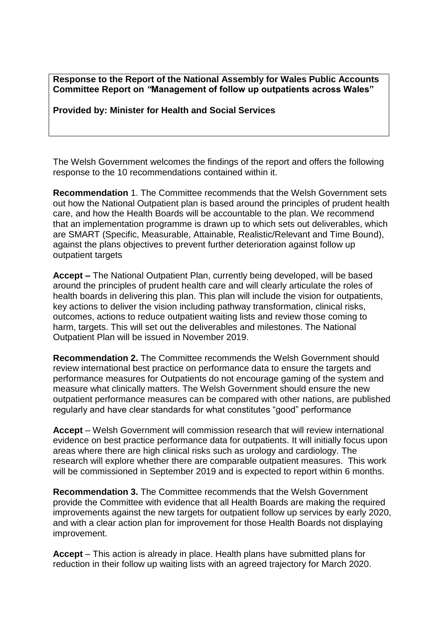**Response to the Report of the National Assembly for Wales Public Accounts Committee Report on** *"***Management of follow up outpatients across Wales"**

**Provided by: Minister for Health and Social Services** 

The Welsh Government welcomes the findings of the report and offers the following response to the 10 recommendations contained within it.

**Recommendation** 1. The Committee recommends that the Welsh Government sets out how the National Outpatient plan is based around the principles of prudent health care, and how the Health Boards will be accountable to the plan. We recommend that an implementation programme is drawn up to which sets out deliverables, which are SMART (Specific, Measurable, Attainable, Realistic/Relevant and Time Bound), against the plans objectives to prevent further deterioration against follow up outpatient targets

**Accept –** The National Outpatient Plan, currently being developed, will be based around the principles of prudent health care and will clearly articulate the roles of health boards in delivering this plan. This plan will include the vision for outpatients, key actions to deliver the vision including pathway transformation, clinical risks, outcomes, actions to reduce outpatient waiting lists and review those coming to harm, targets. This will set out the deliverables and milestones. The National Outpatient Plan will be issued in November 2019.

**Recommendation 2.** The Committee recommends the Welsh Government should review international best practice on performance data to ensure the targets and performance measures for Outpatients do not encourage gaming of the system and measure what clinically matters. The Welsh Government should ensure the new outpatient performance measures can be compared with other nations, are published regularly and have clear standards for what constitutes "good" performance

**Accept** – Welsh Government will commission research that will review international evidence on best practice performance data for outpatients. It will initially focus upon areas where there are high clinical risks such as urology and cardiology. The research will explore whether there are comparable outpatient measures. This work will be commissioned in September 2019 and is expected to report within 6 months.

**Recommendation 3.** The Committee recommends that the Welsh Government provide the Committee with evidence that all Health Boards are making the required improvements against the new targets for outpatient follow up services by early 2020, and with a clear action plan for improvement for those Health Boards not displaying improvement.

**Accept** – This action is already in place. Health plans have submitted plans for reduction in their follow up waiting lists with an agreed trajectory for March 2020.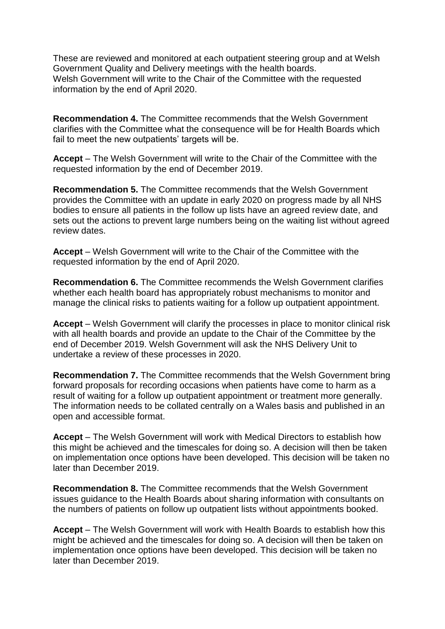These are reviewed and monitored at each outpatient steering group and at Welsh Government Quality and Delivery meetings with the health boards. Welsh Government will write to the Chair of the Committee with the requested information by the end of April 2020.

**Recommendation 4.** The Committee recommends that the Welsh Government clarifies with the Committee what the consequence will be for Health Boards which fail to meet the new outpatients' targets will be.

**Accept** – The Welsh Government will write to the Chair of the Committee with the requested information by the end of December 2019.

**Recommendation 5.** The Committee recommends that the Welsh Government provides the Committee with an update in early 2020 on progress made by all NHS bodies to ensure all patients in the follow up lists have an agreed review date, and sets out the actions to prevent large numbers being on the waiting list without agreed review dates.

**Accept** – Welsh Government will write to the Chair of the Committee with the requested information by the end of April 2020.

**Recommendation 6.** The Committee recommends the Welsh Government clarifies whether each health board has appropriately robust mechanisms to monitor and manage the clinical risks to patients waiting for a follow up outpatient appointment.

**Accept** – Welsh Government will clarify the processes in place to monitor clinical risk with all health boards and provide an update to the Chair of the Committee by the end of December 2019. Welsh Government will ask the NHS Delivery Unit to undertake a review of these processes in 2020.

**Recommendation 7.** The Committee recommends that the Welsh Government bring forward proposals for recording occasions when patients have come to harm as a result of waiting for a follow up outpatient appointment or treatment more generally. The information needs to be collated centrally on a Wales basis and published in an open and accessible format.

**Accept** – The Welsh Government will work with Medical Directors to establish how this might be achieved and the timescales for doing so. A decision will then be taken on implementation once options have been developed. This decision will be taken no later than December 2019.

**Recommendation 8.** The Committee recommends that the Welsh Government issues guidance to the Health Boards about sharing information with consultants on the numbers of patients on follow up outpatient lists without appointments booked.

**Accept** – The Welsh Government will work with Health Boards to establish how this might be achieved and the timescales for doing so. A decision will then be taken on implementation once options have been developed. This decision will be taken no later than December 2019.